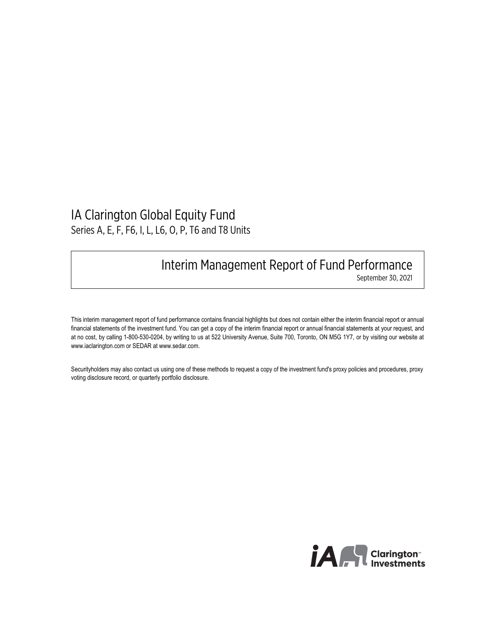## **IA Clarington Global Equity Fund Series A, E, F, F6, I, L, L6, O, P, T6 and T8 Units**

## **Interim Management Report of Fund Performance**

**September 30, 2021** 

**This interim management report of fund performance contains financial highlights but does not contain either the interim financial report or annual financial statements of the investment fund. You can get a copy of the interim financial report or annual financial statements at your request, and at no cost, by calling 1-800-530-0204, by writing to us at 522 University Avenue, Suite 700, Toronto, ON M5G 1Y7, or by visiting our website at <www.iaclarington.com>or SEDAR at [www.sedar.com.](www.sedar.com)**

**Securityholders may also contact us using one of these methods to request a copy of the investment fund's proxy policies and procedures, proxy voting disclosure record, or quarterly portfolio disclosure.** 

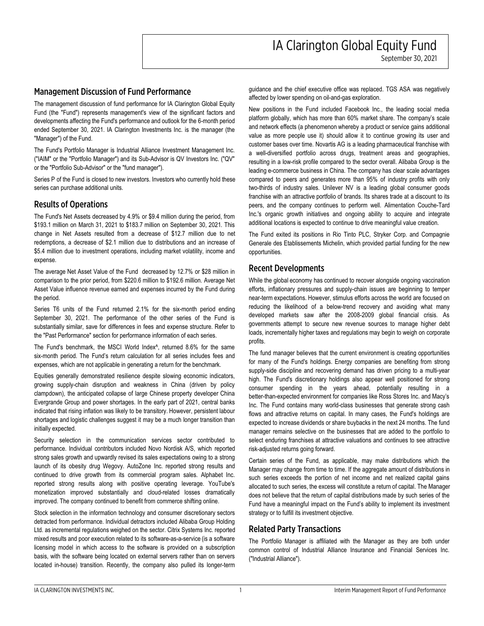**September 30, 2021** 

#### **Management Discussion of Fund Performance**

**The management discussion of fund performance for IA Clarington Global Equity Fund (the "Fund") represents management's view of the significant factors and developments affecting the Fund's performance and outlook for the 6-month period ended September 30, 2021. IA Clarington Investments Inc. is the manager (the "Manager") of the Fund.** 

**The Fund's Portfolio Manager is Industrial Alliance Investment Management Inc. ("IAIM" or the "Portfolio Manager") and its Sub-Advisor is QV Investors Inc. ("QV" or the "Portfolio Sub-Advisor" or the "fund manager").** 

**Series P of the Fund is closed to new investors. Investors who currently hold these series can purchase additional units.** 

### **Results of Operations**

**The Fund's Net Assets decreased by 4.9% or \$9.4 million during the period, from \$193.1 million on March 31, 2021 to \$183.7 million on September 30, 2021 . This change in Net Assets resulted from a decrease of \$12.7 million due to net redemptions, a decrease of \$2.1 million due to distributions and an increase of \$5.4 million due to investment operations, including market volatility, income and expense.** 

**The average Net Asset Value of the Fund decreased by 12.7% or \$28 million in comparison to the prior period, from \$220.6 million to \$192.6 million . Average Net Asset Value influence revenue earned and expenses incurred by the Fund during the period.** 

**Series T6 units of the Fund returned 2.1% for the six-month period ending September 30, 2021. The performance of the other series of the Fund is substantially similar, save for differences in fees and expense structure. Refer to the "Past Performance" section for performance information of each series.** 

**The Fund's benchmark, the MSCI World Index^, returned 8.6% for the same six-month period. The Fund's return calculation for all series includes fees and expenses, which are not applicable in generating a return for the benchmark.** 

**Equities generally demonstrated resilience despite slowing economic indicators, growing supply-chain disruption and weakness in China (driven by policy clampdown), the anticipated collapse of large Chinese property developer China Evergrande Group and power shortages. In the early part of 2021, central banks indicated that rising inflation was likely to be transitory. However, persistent labour shortages and logistic challenges suggest it may be a much longer transition than initially expected.** 

**Security selection in the communication services sector contributed to performance. Individual contributors included Novo Nordisk A/S, which reported strong sales growth and upwardly revised its sales expectations owing to a strong launch of its obesity drug Wegovy. AutoZone Inc. reported strong results and continued to drive growth from its commercial program sales. Alphabet Inc. reported strong results along with positive operating leverage. YouTube's monetization improved substantially and cloud-related losses dramatically improved. The company continued to benefit from commerce shifting online.** 

**Stock selection in the information technology and consumer discretionary sectors detracted from performance. Individual detractors included Alibaba Group Holding Ltd. as incremental regulations weighed on the sector. Citrix Systems Inc. reported mixed results and poor execution related to its software-as-a-service (is a software licensing model in which access to the software is provided on a subscription basis, with the software being located on external servers rather than on servers located in-house) transition. Recently, the company also pulled its longer-term** 

 **guidance and the chief executive office was replaced. TGS ASA was negatively affected by lower spending on oil-and-gas exploration.** 

 **New positions in the Fund included Facebook Inc., the leading social media platform globally, which has more than 60% market share. The company's scale and network effects (a phenomenon whereby a product or service gains additional value as more people use it) should allow it to continue growing its user and customer bases over time. Novartis AG is a leading pharmaceutical franchise with a well-diversified portfolio across drugs, treatment areas and geographies, resulting in a low-risk profile compared to the sector overall. Alibaba Group is the leading e-commerce business in China. The company has clear scale advantages compared to peers and generates more than 95% of industry profits with only two-thirds of industry sales. Unilever NV is a leading global consumer goods franchise with an attractive portfolio of brands. Its shares trade at a discount to its peers, and the company continues to perform well. Alimentation Couche-Tard Inc.'s organic growth initiatives and ongoing ability to acquire and integrate additional locations is expected to continue to drive meaningful value creation.** 

 **The Fund exited its positions in Rio Tinto PLC, Stryker Corp. and Compagnie Generale des Etablissements Michelin, which provided partial funding for the new opportunities.** 

#### **Recent Developments**

 **While the global economy has continued to recover alongside ongoing vaccination efforts, inflationary pressures and supply-chain issues are beginning to temper near-term expectations. However, stimulus efforts across the world are focused on reducing the likelihood of a below-trend recovery and avoiding what many developed markets saw after the 2008-2009 global financial crisis. As governments attempt to secure new revenue sources to manage higher debt loads, incrementally higher taxes and regulations may begin to weigh on corporate profits.** 

 **The fund manager believes that the current environment is creating opportunities for many of the Fund's holdings. Energy companies are benefiting from strong supply-side discipline and recovering demand has driven pricing to a multi-year high. The Fund's discretionary holdings also appear well positioned for strong consumer spending in the years ahead, potentially resulting in a better-than-expected environment for companies like Ross Stores Inc. and Macy's Inc. The Fund contains many world-class businesses that generate strong cash flows and attractive returns on capital. In many cases, the Fund's holdings are expected to increase dividends or share buybacks in the next 24 months. The fund manager remains selective on the businesses that are added to the portfolio to select enduring franchises at attractive valuations and continues to see attractive risk-adjusted returns going forward.** 

 **Certain series of the Fund, as applicable, may make distributions which the Manager may change from time to time. If the aggregate amount of distributions in such series exceeds the portion of net income and net realized capital gains allocated to such series, the excess will constitute a return of capital. The Manager does not believe that the return of capital distributions made by such series of the Fund have a meaningful impact on the Fund's ability to implement its investment strategy or to fulfill its investment objective.** 

### **Related Party Transactions**

 **The Portfolio Manager is affiliated with the Manager as they are both under common control of Industrial Alliance Insurance and Financial Services Inc. ("Industrial Alliance").**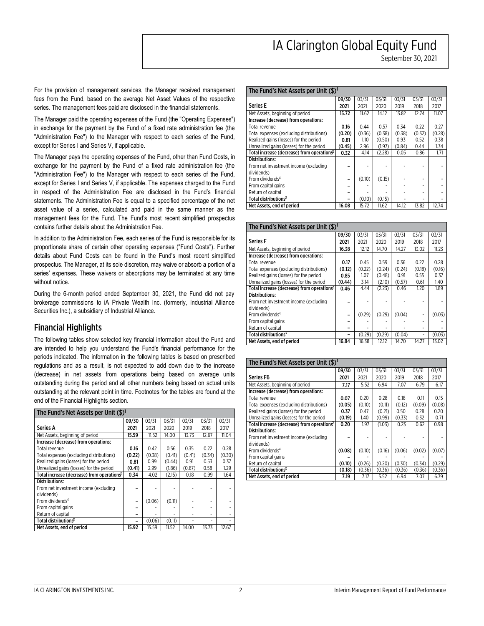**September 30, 2021** 

**03/31 2017** 

**For the provision of management services, the Manager received management fees from the Fund, based on the average Net Asset Values of the respective series. The management fees paid are disclosed in the financial statements.** 

**The Manager paid the operating expenses of the Fund (the "Operating Expenses") in exchange for the payment by the Fund of a fixed rate administration fee (the "Administration Fee") to the Manager with respect to each series of the Fund, except for Series I and Series V, if applicable.** 

**The Manager pays the operating expenses of the Fund, other than Fund Costs, in exchange for the payment by the Fund of a fixed rate administration fee (the "Administration Fee") to the Manager with respect to each series of the Fund, except for Series I and Series V, if applicable. The expenses charged to the Fund in respect of the Administration Fee are disclosed in the Fund's financial statements. The Administration Fee is equal to a specified percentage of the net asset value of a series, calculated and paid in the same manner as the management fees for the Fund. The Fund's most recent simplified prospectus contains further details about the Administration Fee.** 

**In addition to the Administration Fee, each series of the Fund is responsible for its proportionate share of certain other operating expenses ("Fund Costs"). Further details about Fund Costs can be found in the Fund's most recent simplified prospectus. The Manager, at its sole discretion, may waive or absorb a portion of a series' expenses. These waivers or absorptions may be terminated at any time without notice.** 

**During the 6-month period ended September 30, 2021, the Fund did not pay brokerage commissions to iA Private Wealth Inc. (formerly, Industrial Alliance Securities Inc.), a subsidiary of Industrial Alliance.** 

### **Financial Highlights**

**The following tables show selected key financial information about the Fund and are intended to help you understand the Fund's financial performance for the periods indicated. The information in the following tables is based on prescribed regulations and as a result, is not expected to add down due to the increase (decrease) in net assets from operations being based on average units outstanding during the period and all other numbers being based on actual units outstanding at the relevant point in time. Footnotes for the tables are found at the end of the Financial Highlights section.** 

| The Fund's Net Assets per Unit (\$) <sup>1</sup>       |        |        |        |        |        |        |
|--------------------------------------------------------|--------|--------|--------|--------|--------|--------|
|                                                        | 09/30  | 03/31  | 03/31  | 03/31  | 03/31  | 03/31  |
| <b>Series A</b>                                        | 2021   | 2021   | 2020   | 2019   | 2018   | 2017   |
| Net Assets, beginning of period                        | 15.59  | 11.52  | 14.00  | 13.73  | 12.67  | 11.04  |
| Increase (decrease) from operations:                   |        |        |        |        |        |        |
| Total revenue                                          | 0.16   | 0.42   | 0.56   | 0.35   | 0.22   | 0.28   |
| Total expenses (excluding distributions)               | (0.22) | (0.38) | (0.41) | (0.41) | (0.34) | (0.30) |
| Realized gains (losses) for the period                 | 0.81   | 0.99   | (0.44) | 0.91   | 0.53   | 0.37   |
| Unrealized gains (losses) for the period               | (0.41) | 2.99   | (1.86) | (0.67) | 0.58   | 1.29   |
| Total increase (decrease) from operations <sup>2</sup> | 0.34   | 4.02   | (2.15) | 0.18   | 0.99   | 1.64   |
| <b>Distributions:</b>                                  |        |        |        |        |        |        |
| From net investment income (excluding                  |        |        |        |        |        |        |
| dividends)                                             |        |        |        |        |        |        |
| From dividends <sup>4</sup>                            | -      | (0.06) | (0.11) |        |        |        |
| From capital gains                                     | -      |        |        |        |        |        |
| Return of capital                                      | -      |        |        |        |        |        |
| Total distributions <sup>3</sup>                       | -      | (0.06) | (0.11) |        |        |        |
| Net Assets, end of period                              | 15.92  | 15.59  | 11.52  | 14.00  | 13.73  | 12.67  |

| The Fund's Net Assets per Unit (\$) <sup>1</sup>       |        |        |        |        |        |        |  |  |  |
|--------------------------------------------------------|--------|--------|--------|--------|--------|--------|--|--|--|
|                                                        | 09/30  | 03/31  | 03/31  | 03/31  | 03/31  | 03/31  |  |  |  |
| <b>Series E</b>                                        | 2021   | 2021   | 2020   | 2019   | 2018   | 2017   |  |  |  |
| Net Assets, beginning of period                        | 15.72  | 11.62  | 14.12  | 13.82  | 12.74  | 11.07  |  |  |  |
| Increase (decrease) from operations:                   |        |        |        |        |        |        |  |  |  |
| Total revenue                                          | 0.16   | 0.44   | 0.57   | 0.34   | 0.22   | 0.27   |  |  |  |
| Total expenses (excluding distributions)               | (0.20) | (0.36) | (0.38) | (0.38) | (0.32) | (0.28) |  |  |  |
| Realized gains (losses) for the period                 | 0.81   | 1.10   | (0.50) | 0.93   | 0.52   | 0.38   |  |  |  |
| Unrealized gains (losses) for the period               | (0.45) | 2.96   | (1.97) | (0.84) | 0.44   | 1.34   |  |  |  |
| Total increase (decrease) from operations <sup>2</sup> | 0.32   | 4.14   | (2.28) | 0.05   | 0.86   | 1.71   |  |  |  |
| <b>Distributions:</b>                                  |        |        |        |        |        |        |  |  |  |
| From net investment income (excluding                  |        |        |        |        |        |        |  |  |  |
| dividends)                                             |        |        |        |        |        |        |  |  |  |
| From dividends <sup>4</sup>                            |        | (0.10) | (0.15) |        |        |        |  |  |  |
| From capital gains                                     |        |        |        |        |        |        |  |  |  |
| Return of capital                                      |        |        |        | ۰      |        |        |  |  |  |
| Total distributions <sup>3</sup>                       |        | (0.10) | (0.15) | ٠      |        |        |  |  |  |
| Net Assets, end of period                              | 16.08  | 15.72  | 11.62  | 14.12  | 13.82  | 12.74  |  |  |  |

#### **The Fund's Net Assets per Unit (\$) <sup>1</sup> Series F 09/30 2021 03/31 2021 03/31 2020 03/31 2019 03/31 2018 Net Assets, beginning of period 16.38 12.12 14.70 14.27 13.02 11.23 Increase (decrease) from operations: Total revenue 0.17 0.45 0.59 0.36 0.22 0.28 Total expenses (excluding distributions) (0.12) (0.22) (0.24) (0.24) (0.18) (0.16) Realized gains (losses) for the period <b>0.85 0.85 0.91 0.91 0.55 0.37 Realized gains (losses) for the period 0.85 1.07 (0.48) 0.91 0.55 0.37 1.40 0.44 1.40 0.57 1.40 1.40 Unrealized gains (losses) for the period Total increase (decrease) from operations <sup>2</sup> 0.46 4.44 (2.23) 0.46 1.20 1.89 Distributions: From net investment income (excluding dividends) – - - - - - From dividends <sup>4</sup>**  $(0.29)$   $(0.29)$   $(0.04)$   $(0.03)$ **From capital gains – - - - - -**

| The Fund's Net Assets per Unit (\$)                    |        |        |        |        |        |        |
|--------------------------------------------------------|--------|--------|--------|--------|--------|--------|
|                                                        | 09/30  | 03/31  | 03/31  | 03/31  | 03/31  | 03/31  |
| Series F6                                              | 2021   | 2021   | 2020   | 2019   | 2018   | 2017   |
| Net Assets, beginning of period                        | 7.17   | 5.52   | 6.94   | 7.07   | 6.79   | 6.17   |
| Increase (decrease) from operations:                   |        |        |        |        |        |        |
| Total revenue                                          | 0.07   | 0.20   | 0.28   | 0.18   | 0.11   | 0.15   |
| Total expenses (excluding distributions)               | (0.05) | (0.10) | (0.11) | (0.12) | (0.09) | (0.08) |
| Realized gains (losses) for the period                 | 0.37   | 0.47   | (0.21) | 0.50   | 0.28   | 0.20   |
| Unrealized gains (losses) for the period               | (0.19) | 1.40   | (0.99) | (0.33) | 0.32   | 0.71   |
| Total increase (decrease) from operations <sup>2</sup> | 0.20   | 1.97   | (1.03) | 0.23   | 0.62   | 0.98   |
| <b>Distributions:</b>                                  |        |        |        |        |        |        |
| From net investment income (excluding                  |        |        |        |        |        |        |
| dividends)                                             |        |        |        |        |        |        |
| From dividends <sup>4</sup>                            | (0.08) | (0.10) | (0.16) | (0.06) | (0.02) | (0.07) |
| From capital gains                                     |        |        |        |        |        |        |
| Return of capital                                      | (0.10) | (0.26) | (0.20) | (0.30) | (0.34) | (0.29) |
| Total distributions <sup>3</sup>                       | (0.18) | (0.36) | (0.36) | (0.36) | (0.36) | (0.36) |
| Net Assets, end of period                              | 7.19   | 7.17   | 5.52   | 6.94   | 7.07   | 6.79   |

**Return of capital** <br> **1988 1989 10.29 (0.29) (0.04) 10.03 10.03 10.03 10.03 1** 

**Net Assets, end of period 16.84 | 16.38 | 12.12 | 14.70 | 14.27 | 13.02** 

 $(0.29)$   $(0.29)$   $(0.04)$ 

**Total distributions <sup>3</sup>**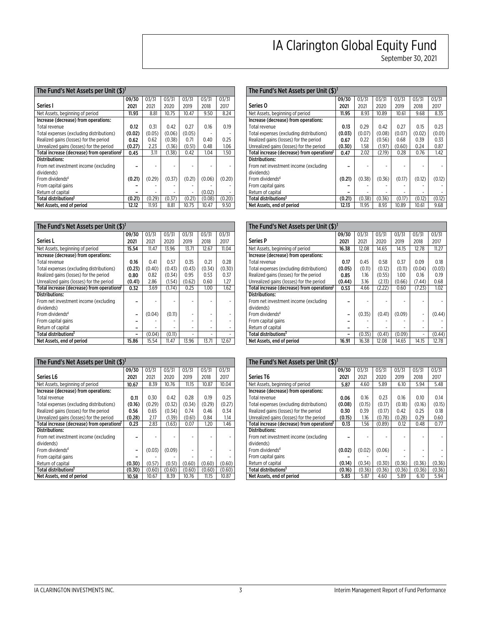**September 30, 2021** 

| The Fund's Net Assets per Unit (\$) <sup>1</sup>       |        |        |        |        |        |        |  |  |  |
|--------------------------------------------------------|--------|--------|--------|--------|--------|--------|--|--|--|
|                                                        | 09/30  | 03/31  | 03/31  | 03/31  | 03/31  | 03/31  |  |  |  |
| Series I                                               | 2021   | 2021   | 2020   | 2019   | 2018   | 2017   |  |  |  |
| Net Assets, beginning of period                        | 11.93  | 8.81   | 10.75  | 10.47  | 9.50   | 8.24   |  |  |  |
| Increase (decrease) from operations:                   |        |        |        |        |        |        |  |  |  |
| Total revenue                                          | 0.12   | 0.31   | 0.42   | 0.27   | 0.16   | 0.19   |  |  |  |
| Total expenses (excluding distributions)               | (0.02) | (0.05) | (0.06) | (0.05) |        |        |  |  |  |
| Realized gains (losses) for the period                 | 0.62   | 0.62   | (0.38) | 0.71   | 0.40   | 0.25   |  |  |  |
| Unrealized gains (losses) for the period               | (0.27) | 2.23   | (1.36) | (0.51) | 0.48   | 1.06   |  |  |  |
| Total increase (decrease) from operations <sup>2</sup> | 0.45   | 3.11   | (1.38) | 0.42   | 1.04   | 1.50   |  |  |  |
| <b>Distributions:</b>                                  |        |        |        |        |        |        |  |  |  |
| From net investment income (excluding                  |        |        |        |        |        |        |  |  |  |
| dividends)                                             |        |        |        |        |        |        |  |  |  |
| From dividends <sup>4</sup>                            | (0.21) | (0.29) | (0.37) | (0.21) | (0.06) | (0.20) |  |  |  |
| From capital gains                                     |        |        |        |        |        |        |  |  |  |
| Return of capital                                      |        |        |        | -      | (0.02) |        |  |  |  |
| Total distributions <sup>3</sup>                       | (0.21) | (0.29) | (0.37) | (0.21) | (0.08) | (0.20) |  |  |  |
| Net Assets, end of period                              | 12.12  | 11.93  | 8.81   | 10.75  | 10.47  | 9.50   |  |  |  |

| The Fund's Net Assets per Unit (\$) <sup>1</sup>       |        |        |        |        |        |        |
|--------------------------------------------------------|--------|--------|--------|--------|--------|--------|
|                                                        | 09/30  | 03/31  | 03/31  | 03/31  | 03/31  | 03/31  |
| <b>Series L</b>                                        | 2021   | 2021   | 2020   | 2019   | 2018   | 2017   |
| Net Assets, beginning of period                        | 15.54  | 11.47  | 13.96  | 13.71  | 12.67  | 11.04  |
| Increase (decrease) from operations:                   |        |        |        |        |        |        |
| Total revenue                                          | 0.16   | 0.41   | 0.57   | 0.35   | 0.21   | 0.28   |
| Total expenses (excluding distributions)               | (0.23) | (0.40) | (0.43) | (0.43) | (0.34) | (0.30) |
| Realized gains (losses) for the period                 | 0.80   | 0.82   | (0.34) | 0.95   | 0.53   | 0.37   |
| Unrealized gains (losses) for the period               | (0.41) | 2.86   | (1.54) | (0.62) | 0.60   | 1.27   |
| Total increase (decrease) from operations <sup>2</sup> | 0.32   | 3.69   | (1.74) | 0.25   | 1.00   | 1.62   |
| <b>Distributions:</b>                                  |        |        |        |        |        |        |
| From net investment income (excluding                  |        |        |        |        |        |        |
| dividends)                                             |        |        |        |        |        |        |
| From dividends <sup>4</sup>                            |        | (0.04) | (0.11) |        |        | ۰      |
| From capital gains                                     |        |        |        |        |        |        |
| Return of capital                                      |        |        |        | ۰      |        | ٠      |
| Total distributions <sup>3</sup>                       |        | (0.04) | (0.11) |        |        |        |
| Net Assets, end of period                              | 15.86  | 15.54  | 11.47  | 13.96  | 13.71  | 12.67  |

| The Fund's Net Assets per Unit (\$) <sup>1</sup>       |        |        |        |        |        |        |  |  |  |  |
|--------------------------------------------------------|--------|--------|--------|--------|--------|--------|--|--|--|--|
|                                                        | 09/30  | 03/31  | 03/31  | 03/31  | 03/31  | 03/31  |  |  |  |  |
| Series L6                                              | 2021   | 2021   | 2020   | 2019   | 2018   | 2017   |  |  |  |  |
| Net Assets, beginning of period                        | 10.67  | 8.39   | 10.76  | 11.15  | 10.87  | 10.04  |  |  |  |  |
| Increase (decrease) from operations:                   |        |        |        |        |        |        |  |  |  |  |
| Total revenue                                          | 0.11   | 0.30   | 0.42   | 0.28   | 0.19   | 0.25   |  |  |  |  |
| Total expenses (excluding distributions)               | (0.16) | (0.29) | (0.32) | (0.34) | (0.29) | (0.27) |  |  |  |  |
| Realized gains (losses) for the period                 | 0.56   | 0.65   | (0.34) | 0.74   | 0.46   | 0.34   |  |  |  |  |
| Unrealized gains (losses) for the period               | (0.28) | 2.17   | (1.39) | (0.61) | 0.84   | 1.14   |  |  |  |  |
| Total increase (decrease) from operations <sup>2</sup> | 0.23   | 2.83   | (1.63) | 0.07   | 1.20   | 1.46   |  |  |  |  |
| <b>Distributions:</b>                                  |        |        |        |        |        |        |  |  |  |  |
| From net investment income (excluding                  |        |        |        |        |        |        |  |  |  |  |
| dividends)                                             |        |        |        |        |        |        |  |  |  |  |
| From dividends <sup>4</sup>                            |        | (0.03) | (0.09) |        |        |        |  |  |  |  |
| From capital gains                                     |        |        |        |        |        |        |  |  |  |  |
| Return of capital                                      | (0.30) | (0.57) | (0.51) | (0.60) | (0.60) | (0.60) |  |  |  |  |
| Total distributions <sup>3</sup>                       | (0.30) | (0.60) | (0.60) | (0.60) | (0.60) | (0.60) |  |  |  |  |
| Net Assets, end of period                              | 10.58  | 10.67  | 8.39   | 10.76  | 11.15  | 10.87  |  |  |  |  |

| The Fund's Net Assets per Unit (\$) <sup>1</sup>       |        |        |        |        |        |        |  |  |  |
|--------------------------------------------------------|--------|--------|--------|--------|--------|--------|--|--|--|
|                                                        | 09/30  | 03/31  | 03/31  | 03/31  | 03/31  | 03/31  |  |  |  |
| Series 0                                               | 2021   | 2021   | 2020   | 2019   | 2018   | 2017   |  |  |  |
| Net Assets, beginning of period                        | 11.95  | 8.93   | 10.89  | 10.61  | 9.68   | 8.35   |  |  |  |
| Increase (decrease) from operations:                   |        |        |        |        |        |        |  |  |  |
| Total revenue                                          | 0.13   | 0.29   | 0.42   | 0.27   | 0.15   | 0.23   |  |  |  |
| Total expenses (excluding distributions)               | (0.03) | (0.07) | (0.08) | (0.07) | (0.02) | (0.01) |  |  |  |
| Realized gains (losses) for the period                 | 0.67   | 0.22   | (0.56) | 0.68   | 0.39   | 0.33   |  |  |  |
| Unrealized gains (losses) for the period               | (0.30) | 1.58   | (1.97) | (0.60) | 0.24   | 0.87   |  |  |  |
| Total increase (decrease) from operations <sup>2</sup> | 0.47   | 2.02   | (2.19) | 0.28   | 0.76   | 1.42   |  |  |  |
| <b>Distributions:</b>                                  |        |        |        |        |        |        |  |  |  |
| From net investment income (excluding                  |        |        |        |        |        |        |  |  |  |
| dividends)                                             |        |        |        |        |        |        |  |  |  |
| From dividends <sup>4</sup>                            | (0.21) | (0.38) | (0.36) | (0.17) | (0.12) | (0.12) |  |  |  |
| From capital gains                                     |        |        |        |        |        |        |  |  |  |
| Return of capital                                      |        |        |        |        |        |        |  |  |  |
| Total distributions <sup>3</sup>                       | (0.21) | (0.38) | (0.36) | (0.17) | (0.12) | (0.12) |  |  |  |
| Net Assets, end of period                              | 12.13  | 11.95  | 8.93   | 10.89  | 10.61  | 9.68   |  |  |  |

| The Fund's Net Assets per Unit (\$) <sup>1</sup>       |        |        |        |        |        |        |  |  |  |
|--------------------------------------------------------|--------|--------|--------|--------|--------|--------|--|--|--|
|                                                        | 09/30  | 03/31  | 03/31  | 03/31  | 03/31  | 03/31  |  |  |  |
| <b>Series P</b>                                        | 2021   | 2021   | 2020   | 2019   | 2018   | 2017   |  |  |  |
| Net Assets, beginning of period                        | 16.38  | 12.08  | 14.65  | 14.15  | 12.78  | 11.27  |  |  |  |
| Increase (decrease) from operations:                   |        |        |        |        |        |        |  |  |  |
| Total revenue                                          | 0.17   | 0.45   | 0.58   | 0.37   | 0.09   | 0.18   |  |  |  |
| Total expenses (excluding distributions)               | (0.05) | (0.11) | (0.12) | (0.11) | (0.04) | (0.03) |  |  |  |
| Realized gains (losses) for the period                 | 0.85   | 1.16   | (0.55) | 1.00   | 0.16   | 0.19   |  |  |  |
| Unrealized gains (losses) for the period               | (0.44) | 3.16   | (2.13) | (0.66) | (7.44) | 0.68   |  |  |  |
| Total increase (decrease) from operations <sup>2</sup> | 0.53   | 4.66   | (2.22) | 0.60   | (7.23) | 1.02   |  |  |  |
| <b>Distributions:</b>                                  |        |        |        |        |        |        |  |  |  |
| From net investment income (excluding                  |        |        |        |        |        |        |  |  |  |
| dividends)                                             |        |        |        |        |        |        |  |  |  |
| From dividends <sup>4</sup>                            | -      | (0.35) | (0.41) | (0.09) | -      | (0.44) |  |  |  |
| From capital gains                                     |        |        |        |        |        |        |  |  |  |
| Return of capital                                      |        |        |        |        |        |        |  |  |  |
| Total distributions <sup>3</sup>                       |        | (0.35) | (0.41) | (0.09) | -      | (0.44) |  |  |  |
| Net Assets, end of period                              | 16.91  | 16.38  | 12.08  | 14.65  | 14.15  | 12.78  |  |  |  |

| The Fund's Net Assets per Unit $(\text{$\$})^1$        |        |        |        |        |        |        |  |  |  |
|--------------------------------------------------------|--------|--------|--------|--------|--------|--------|--|--|--|
|                                                        | 09/30  | 03/31  | 03/31  | 03/31  | 03/31  | 03/31  |  |  |  |
| <b>Series T6</b>                                       | 2021   | 2021   | 2020   | 2019   | 2018   | 2017   |  |  |  |
| Net Assets, beginning of period                        | 5.87   | 4.60   | 5.89   | 6.10   | 5.94   | 5.48   |  |  |  |
| Increase (decrease) from operations:                   |        |        |        |        |        |        |  |  |  |
| Total revenue                                          | 0.06   | 0.16   | 0.23   | 0.16   | 0.10   | 0.14   |  |  |  |
| Total expenses (excluding distributions)               | (0.08) | (0.15) | (0.17) | (0.18) | (0.16) | (0.15) |  |  |  |
| Realized gains (losses) for the period                 | 0.30   | 0.39   | (0.17) | 0.42   | 0.25   | 0.18   |  |  |  |
| Unrealized gains (losses) for the period               | (0.15) | 1.16   | (0.78) | (0.28) | 0.29   | 0.60   |  |  |  |
| Total increase (decrease) from operations <sup>2</sup> | 0.13   | 1.56   | (0.89) | 0.12   | 0.48   | 0.77   |  |  |  |
| <b>Distributions:</b>                                  |        |        |        |        |        |        |  |  |  |
| From net investment income (excluding                  |        |        |        |        |        | -      |  |  |  |
| dividends)                                             |        |        |        |        |        |        |  |  |  |
| From dividends <sup>4</sup>                            | (0.02) | (0.02) | (0.06) |        |        |        |  |  |  |
| From capital gains                                     |        |        |        |        |        |        |  |  |  |
| Return of capital                                      | (0.14) | (0.34) | (0.30) | (0.36) | (0.36) | (0.36) |  |  |  |
| Total distributions <sup>3</sup>                       | (0.16) | (0.36) | (0.36) | (0.36) | (0.36) | (0.36) |  |  |  |
| Net Assets, end of period                              | 5.83   | 5.87   | 4.60   | 5.89   | 6.10   | 5.94   |  |  |  |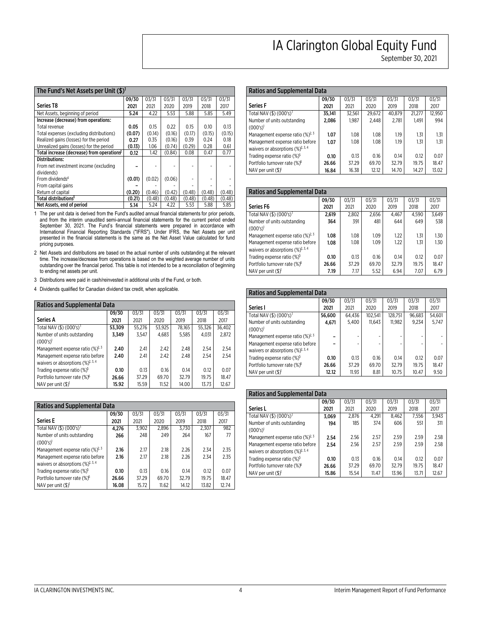| The Fund's Net Assets per Unit (\$) <sup>1</sup>       |        |        |        |        |        |        |  |  |  |  |
|--------------------------------------------------------|--------|--------|--------|--------|--------|--------|--|--|--|--|
|                                                        | 09/30  | 03/31  | 03/31  | 03/31  | 03/31  | 03/31  |  |  |  |  |
| <b>Series T8</b>                                       | 2021   | 2021   | 2020   | 2019   | 2018   | 2017   |  |  |  |  |
| Net Assets, beginning of period                        | 5.24   | 4.22   | 5.53   | 5.88   | 5.85   | 5.49   |  |  |  |  |
| Increase (decrease) from operations:                   |        |        |        |        |        |        |  |  |  |  |
| Total revenue                                          | 0.05   | 0.15   | 0.22   | 0.15   | 0.10   | 0.13   |  |  |  |  |
| Total expenses (excluding distributions)               | (0.07) | (0.14) | (0.16) | (0.17) | (0.15) | (0.15) |  |  |  |  |
| Realized gains (losses) for the period                 | 0.27   | 0.35   | (0.16) | 0.39   | 0.24   | 0.18   |  |  |  |  |
| Unrealized gains (losses) for the period               | (0.13) | 1.06   | (0.74) | (0.29) | 0.28   | 0.61   |  |  |  |  |
| Total increase (decrease) from operations <sup>2</sup> | 0.12   | 1.42   | (0.84) | 0.08   | 0.47   | 0.77   |  |  |  |  |
| <b>Distributions:</b>                                  |        |        |        |        |        |        |  |  |  |  |
| From net investment income (excluding                  |        |        |        |        |        |        |  |  |  |  |
| dividends)                                             |        |        |        |        |        |        |  |  |  |  |
| From dividends <sup>4</sup>                            | (0.01) | (0.02) | (0.06) |        |        | ۰      |  |  |  |  |
| From capital gains                                     |        |        |        |        |        |        |  |  |  |  |
| Return of capital                                      | (0.20) | (0.46) | (0.42) | (0.48) | (0.48) | (0.48) |  |  |  |  |
| Total distributions <sup>3</sup>                       | (0.21) | (0.48) | (0.48) | (0.48) | (0.48) | (0.48) |  |  |  |  |
| Net Assets, end of period                              | 5.14   | 5.24   | 4.22   | 5.53   | 5.88   | 5.85   |  |  |  |  |

**1 The per unit data is derived from the Fund's audited annual financial statements for prior periods, and from the interim unaudited semi-annual financial statements for the current period ended September 30, 2021. The Fund's financial statements were prepared in accordance with International Financial Reporting Standards ("IFRS"). Under IFRS, the Net Assets per unit presented in the financial statements is the same as the Net Asset Value calculated for fund pricing purposes.** 

**2 Net Assets and distributions are based on the actual number of units outstanding at the relevant time. The increase/decrease from operations is based on the weighted average number of units outstanding over the financial period. This table is not intended to be a reconciliation of beginning to ending net assets per unit.** 

**3 Distributions were paid in cash/reinvested in additional units of the Fund, or both.** 

**4 Dividends qualified for Canadian dividend tax credit, when applicable.** 

| <b>Ratios and Supplemental Data</b>                               |        |        |        |        |        |        |  |  |  |  |
|-------------------------------------------------------------------|--------|--------|--------|--------|--------|--------|--|--|--|--|
|                                                                   | 09/30  | 03/31  | 03/31  | 03/31  | 03/31  | 03/31  |  |  |  |  |
| Series A                                                          | 2021   | 2021   | 2020   | 2019   | 2018   | 2017   |  |  |  |  |
| Total NAV (\$) (000's) <sup>1</sup>                               | 53,309 | 55,276 | 53,925 | 78,165 | 55,326 | 36,402 |  |  |  |  |
| Number of units outstanding                                       | 3,349  | 3,547  | 4,683  | 5,585  | 4,031  | 2,872  |  |  |  |  |
| $(000's)^1$                                                       |        |        |        |        |        |        |  |  |  |  |
| Management expense ratio $(\frac{9}{2})^2$ , 3                    | 2.40   | 2.41   | 2.42   | 2.48   | 2.54   | 2.54   |  |  |  |  |
| Management expense ratio before                                   | 2.40   | 2.41   | 2.42   | 2.48   | 2.54   | 2.54   |  |  |  |  |
| waivers or absorptions $(\frac{9}{2})^{\frac{3}{2}, \frac{4}{3}}$ |        |        |        |        |        |        |  |  |  |  |
| Trading expense ratio (%) <sup>5</sup>                            | 0.10   | 0.13   | 0.16   | 0.14   | 0.12   | 0.07   |  |  |  |  |
| Portfolio turnover rate (%) <sup>6</sup>                          | 26.66  | 37.29  | 69.70  | 32.79  | 19.75  | 18.47  |  |  |  |  |
| NAV per unit (\$)                                                 | 15.92  | 15.59  | 11.52  | 14.00  | 13.73  | 12.67  |  |  |  |  |

| <b>Ratios and Supplemental Data</b>                               |       |       |       |       |       |       |  |  |  |  |
|-------------------------------------------------------------------|-------|-------|-------|-------|-------|-------|--|--|--|--|
|                                                                   | 09/30 | 03/31 | 03/31 | 03/31 | 03/31 | 03/31 |  |  |  |  |
| <b>Series E</b>                                                   | 2021  | 2021  | 2020  | 2019  | 2018  | 2017  |  |  |  |  |
| Total NAV (\$) $(000's)^1$                                        | 4.276 | 3.902 | 2.896 | 3.730 | 2.307 | 982   |  |  |  |  |
| Number of units outstanding                                       | 266   | 248   | 249   | 264   | 167   | 77    |  |  |  |  |
| $(000's)^{1}$                                                     |       |       |       |       |       |       |  |  |  |  |
| Management expense ratio $(\frac{9}{2})^2$ , 3                    | 2.16  | 2.17  | 2.18  | 2.26  | 2.34  | 2.35  |  |  |  |  |
| Management expense ratio before                                   | 2.16  | 2.17  | 2.18  | 2.26  | 2.34  | 2.35  |  |  |  |  |
| waivers or absorptions $(\frac{9}{2})^{\frac{7}{2}, \frac{3}{4}}$ |       |       |       |       |       |       |  |  |  |  |
| Trading expense ratio $(\%)^5$                                    | 0.10  | 0.13  | 0.16  | 0.14  | 0.12  | 0.07  |  |  |  |  |
| Portfolio turnover rate (%) <sup>6</sup>                          | 26.66 | 37.29 | 69.70 | 32.79 | 19.75 | 18.47 |  |  |  |  |
| NAV per unit $($ \$) <sup>1</sup>                                 | 16.08 | 15.72 | 11.62 | 14.12 | 13.82 | 12.74 |  |  |  |  |

#### **Ratios and Supplemental Data Series F 09/30 2021 03/31 2021 03/31 2020 03/31 2019 03/31 2018 03/31 2017 Total NAV (\$) (000's) <sup>1</sup> 35,141 32,561 29,672 40,879 21,277 12,950 Number of units outstanding (000's) <sup>1</sup> 2,086 1,987 2,448 2,781 1,491 994**  Management expense ratio (%)<sup>2, 3</sup> **1.07 1.08 1.08 1.19 1.31 1.31 Management expense ratio before**  waivers or absorptions (%)<sup>2, 3, 4</sup> **1.07 1.08 1.08 1.19 1.31 1.31 Trading expense ratio (%)<sup>5</sup> <b>0.10 0.13 0.16 0.14 0.12 0.07 Portfolio turnover rate (%)<sup>6</sup> 26.66 57.29 69.70 52.79 52.79 19.75 18.47**

**Portfolio turnover rate (%) <sup>6</sup>**

**NAV per unit (\$) <sup>1</sup>**

| <b>Ratios and Supplemental Data</b>            |       |       |       |       |       |       |
|------------------------------------------------|-------|-------|-------|-------|-------|-------|
|                                                | 09/30 | 03/31 | 03/31 | 03/31 | 03/31 | 03/31 |
| Series F6                                      | 2021  | 2021  | 2020  | 2019  | 2018  | 2017  |
| Total NAV (\$) $(000's)^1$                     | 2,619 | 2.802 | 2.656 | 4.467 | 4.590 | 3.649 |
| Number of units outstanding                    | 364   | 391   | 481   | 644   | 649   | 538   |
| $(000's)^{1}$                                  |       |       |       |       |       |       |
| Management expense ratio $(\%)^{2,3}$          | 1.08  | 1.08  | 1.09  | 1.22  | 1.31  | 1.30  |
| Management expense ratio before                | 1.08  | 1.08  | 1.09  | 1.22  | 1.31  | 1.30  |
| waivers or absorptions $(\frac{9}{2})^{2,3,4}$ |       |       |       |       |       |       |
| Trading expense ratio (%) <sup>5</sup>         | 0.10  | 0.13  | 0.16  | 0.14  | 0.12  | 0.07  |
| Portfolio turnover rate (%) <sup>6</sup>       | 26.66 | 37.29 | 69.70 | 32.79 | 19.75 | 18.47 |
| NAV per unit $(\$\)^{1}$                       | 7.19  | 7.17  | 5.52  | 6.94  | 7.07  | 6.79  |

#### **Ratios and Supplemental Data Series I 09/30 2021 03/31 2021 03/31 2020 03/31 2019 03/31 2018 03/31 2017 Total NAV (\$) (000's) <sup>1</sup> 56,600 64,436 102,541 128,751 96,683 54,601 Number of units outstanding (000's) <sup>1</sup> 4,671** | 5,400 | 11,643 | 11,982 | 9,234 | 5,747 **Management expense ratio (%)<sup>2, 3</sup> – - - - - - Management expense ratio before**  waivers or absorptions (%)<sup>2, 3, 4</sup> **– - - - - - Trading expense ratio (%) <sup>5</sup> 0.10 0.13 0.16 0.14 0.12 0.07 Portfolio turnover rate (%) <sup>6</sup> 26.66 37.29 69.70 32.79 19.75 18.47 NAV per unit (\$) <sup>1</sup> 12.12 11.93 8.81 10.75 10.47 9.50**

| <b>Ratios and Supplemental Data</b>                        |       |       |       |       |       |       |
|------------------------------------------------------------|-------|-------|-------|-------|-------|-------|
|                                                            | 09/30 | 03/31 | 03/31 | 03/31 | 03/31 | 03/31 |
| Series L                                                   | 2021  | 2021  | 2020  | 2019  | 2018  | 2017  |
| Total NAV (\$) $(000's)^1$                                 | 3,069 | 2.876 | 4,291 | 8.462 | 7.556 | 3.943 |
| Number of units outstanding                                | 194   | 185   | 374   | 606   | 551   | 311   |
| $(000's)^1$                                                |       |       |       |       |       |       |
| Management expense ratio $(\frac{9}{2})^2$ , $\frac{3}{2}$ | 2.54  | 2.56  | 2.57  | 2.59  | 2.59  | 2.58  |
| Management expense ratio before                            | 2.54  | 2.56  | 2.57  | 2.59  | 2.59  | 2.58  |
| waivers or absorptions $(\frac{9}{2})^{2,3,4}$             |       |       |       |       |       |       |
| Trading expense ratio (%) <sup>5</sup>                     | 0.10  | 0.13  | 0.16  | 0.14  | 0.12  | 0.07  |
| Portfolio turnover rate (%) <sup>6</sup>                   | 26.66 | 37.29 | 69.70 | 32.79 | 19.75 | 18.47 |
| NAV per unit $(\$\)^{1}$                                   | 15.86 | 15.54 | 11.47 | 13.96 | 13.71 | 12.67 |

## **IA Clarington Global Equity Fund**

**September 30, 2021** 

**26.66 37.29 69.70 32.79 19.75 18.47** 

**16.84 16.38 12.12 14.70 14.27 13.02**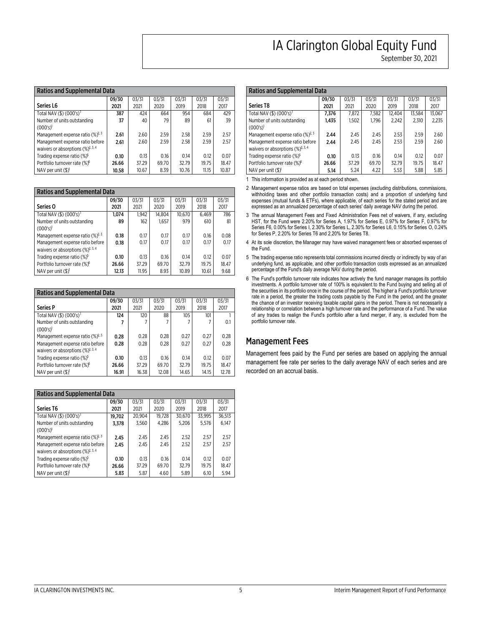| <b>Ratios and Supplemental Data</b>                               |       |       |       |       |       |       |
|-------------------------------------------------------------------|-------|-------|-------|-------|-------|-------|
|                                                                   | 09/30 | 03/31 | 03/31 | 03/31 | 03/31 | 03/31 |
| Series L6                                                         | 2021  | 2021  | 2020  | 2019  | 2018  | 2017  |
| Total NAV (\$) (000's) <sup>1</sup>                               | 387   | 424   | 664   | 954   | 684   | 429   |
| Number of units outstanding                                       | 37    | 40    | 79    | 89    | 61    | 39    |
| $(000's)^1$                                                       |       |       |       |       |       |       |
| Management expense ratio $(\frac{9}{2})^2$ , 3                    | 2.61  | 2.60  | 2.59  | 2.58  | 2.59  | 2.57  |
| Management expense ratio before                                   | 2.61  | 2.60  | 2.59  | 2.58  | 2.59  | 2.57  |
| waivers or absorptions $(\frac{9}{2})^{\frac{3}{2}, \frac{4}{3}}$ |       |       |       |       |       |       |
| Trading expense ratio (%) <sup>5</sup>                            | 0.10  | 0.13  | 0.16  | 0.14  | 0.12  | 0.07  |
| Portfolio turnover rate (%) <sup>6</sup>                          | 26.66 | 37.29 | 69.70 | 32.79 | 19.75 | 18.47 |
| NAV per unit (\$)                                                 | 10.58 | 10.67 | 8.39  | 10.76 | 11.15 | 10.87 |

| <b>Ratios and Supplemental Data</b>                               |       |       |        |        |       |       |
|-------------------------------------------------------------------|-------|-------|--------|--------|-------|-------|
|                                                                   | 09/30 | 03/31 | 03/31  | 03/31  | 03/31 | 03/31 |
| Series O                                                          | 2021  | 2021  | 2020   | 2019   | 2018  | 2017  |
| Total NAV (\$) $(000's)^1$                                        | 1,074 | 1.942 | 14.804 | 10,670 | 6.469 | 786   |
| Number of units outstanding                                       | 89    | 162   | 1.657  | 979    | 610   | 81    |
| $(000's)^{1}$                                                     |       |       |        |        |       |       |
| Management expense ratio $(\frac{9}{2})^2$ , 3                    | 0.18  | 0.17  | 0.17   | 0.17   | 0.16  | 0.08  |
| Management expense ratio before                                   | 0.18  | 0.17  | 0.17   | 0.17   | 0.17  | 0.17  |
| waivers or absorptions $(\frac{9}{2})^{\frac{3}{2}, \frac{4}{3}}$ |       |       |        |        |       |       |
| Trading expense ratio (%) <sup>5</sup>                            | 0.10  | 0.13  | 0.16   | 0.14   | 0.12  | 0.07  |
| Portfolio turnover rate (%) <sup>6</sup>                          | 26.66 | 37.29 | 69.70  | 32.79  | 19.75 | 18.47 |
| NAV per unit $(S)^{1}$                                            | 12.13 | 11.95 | 8.93   | 10.89  | 10.61 | 9.68  |

| <b>Ratios and Supplemental Data</b>                               |       |       |       |       |       |       |
|-------------------------------------------------------------------|-------|-------|-------|-------|-------|-------|
|                                                                   | 09/30 | 03/31 | 03/31 | 03/31 | 03/31 | 03/31 |
| <b>Series P</b>                                                   | 2021  | 2021  | 2020  | 2019  | 2018  | 2017  |
| Total NAV (\$) (000's) <sup>1</sup>                               | 124   | 120   | 88    | 105   | 101   |       |
| Number of units outstanding                                       |       |       |       |       |       | 0.1   |
| $(000's)^1$                                                       |       |       |       |       |       |       |
| Management expense ratio $(\frac{9}{2})^2$ , 3                    | 0.28  | 0.28  | 0.28  | 0.27  | 0.27  | 0.28  |
| Management expense ratio before                                   | 0.28  | 0.28  | 0.28  | 0.27  | 0.27  | 0.28  |
| waivers or absorptions $(\frac{9}{2})^{\frac{3}{2}, \frac{4}{3}}$ |       |       |       |       |       |       |
| Trading expense ratio (%) <sup>5</sup>                            | 0.10  | 0.13  | 0.16  | 0.14  | 0.12  | 0.07  |
| Portfolio turnover rate (%) <sup>6</sup>                          | 26.66 | 37.29 | 69.70 | 32.79 | 19.75 | 18.47 |
| NAV per unit (\$)                                                 | 16.91 | 16.38 | 12.08 | 14.65 | 14.15 | 12.78 |

| <b>Ratios and Supplemental Data</b>                               |        |        |        |        |        |        |
|-------------------------------------------------------------------|--------|--------|--------|--------|--------|--------|
|                                                                   | 09/30  | 03/31  | 03/31  | 03/31  | 03/31  | 03/31  |
| Series T6                                                         | 2021   | 2021   | 2020   | 2019   | 2018   | 2017   |
| Total NAV (\$) $(000's)^1$                                        | 19,702 | 20.904 | 19,728 | 30,670 | 33.995 | 36.513 |
| Number of units outstanding                                       | 3,378  | 3.560  | 4.286  | 5.206  | 5.576  | 6.147  |
| $(000's)^1$                                                       |        |        |        |        |        |        |
| Management expense ratio $(\frac{9}{2})^2$ , 3                    | 2.45   | 2.45   | 2.45   | 2.52   | 2.57   | 2.57   |
| Management expense ratio before                                   | 2.45   | 2.45   | 2.45   | 2.52   | 2.57   | 2.57   |
| waivers or absorptions $(\frac{9}{2})^{\frac{3}{2}, \frac{4}{3}}$ |        |        |        |        |        |        |
| Trading expense ratio $(\%)^5$                                    | 0.10   | 0.13   | 0.16   | 0.14   | 0.12   | 0.07   |
| Portfolio turnover rate (%) <sup>6</sup>                          | 26.66  | 37.29  | 69.70  | 32.79  | 19.75  | 18.47  |
| NAV per unit $(\$\)^{1}$                                          | 5.83   | 5.87   | 4.60   | 5.89   | 6.10   | 5.94   |

**September 30, 2021** 

| <b>Ratios and Supplemental Data</b>            |       |       |       |        |        |        |
|------------------------------------------------|-------|-------|-------|--------|--------|--------|
|                                                | 09/30 | 03/31 | 03/31 | 03/31  | 03/31  | 03/31  |
| <b>Series T8</b>                               | 2021  | 2021  | 2020  | 2019   | 2018   | 2017   |
| Total NAV (\$) (000's) <sup>1</sup>            | 7,376 | 7,872 | 7,582 | 12,404 | 13,584 | 13,067 |
| Number of units outstanding                    | 1,435 | 1,502 | 1.796 | 2.242  | 2,310  | 2,235  |
| $(000's)^1$                                    |       |       |       |        |        |        |
| Management expense ratio $(\%)^{2,3}$          | 2.44  | 2.45  | 2.45  | 2.53   | 2.59   | 2.60   |
| Management expense ratio before                | 2.44  | 2.45  | 2.45  | 2.53   | 2.59   | 2.60   |
| waivers or absorptions $(\frac{9}{2})^{2,3,4}$ |       |       |       |        |        |        |
| Trading expense ratio (%) <sup>5</sup>         | 0.10  | 0.13  | 0.16  | 0.14   | 0.12   | 0.07   |
| Portfolio turnover rate (%) <sup>6</sup>       | 26.66 | 37.29 | 69.70 | 32.79  | 19.75  | 18.47  |
| NAV per unit (\$)                              | 5.14  | 5.24  | 4.22  | 5.53   | 5.88   | 5.85   |

**1 This information is provided as at each period shown.** 

- **2 Management expense ratios are based on total expenses (excluding distributions, commissions,**  withholding taxes and other portfolio transaction costs) and a proportion of underlying fund **expenses (mutual funds & ETFs), where applicable, of each series for the stated period and are expressed as an annualized percentage of each series' daily average NAV during the period.**
- **3 The annual Management Fees and Fixed Administration Fees net of waivers, if any, excluding**  HST, for the Fund were 2.20% for Series A, 1.97% for Series E, 0.97% for Series F, 0.97% for **Series F6, 0.00% for Series I, 2.30% for Series L, 2.30% for Series L6, 0.15% for Series O, 0.24% for Series P, 2.20% for Series T6 and 2.20% for Series T8.**
- **4 At its sole discretion, the Manager may have waived management fees or absorbed expenses of the Fund.**
- **5 The trading expense ratio represents total commissions incurred directly or indirectly by way of an underlying fund, as applicable, and other portfolio transaction costs expressed as an annualized percentage of the Fund's daily average NAV during the period.**
- **6 The Fund's portfolio turnover rate indicates how actively the fund manager manages its portfolio investments. A portfolio turnover rate of 100% is equivalent to the Fund buying and selling all of the securities in its portfolio once in the course of the period. The higher a Fund's portfolio turnover rate in a period, the greater the trading costs payable by the Fund in the period, and the greater the chance of an investor receiving taxable capital gains in the period. There is not necessarily a relationship or correlation between a high turnover rate and the performance of a Fund. The value of any trades to realign the Fund's portfolio after a fund merger, if any, is excluded from the portfolio turnover rate.**

## **Management Fees**

**Management fees paid by the Fund per series are based on applying the annual management fee rate per series to the daily average NAV of each series and are recorded on an accrual basis.**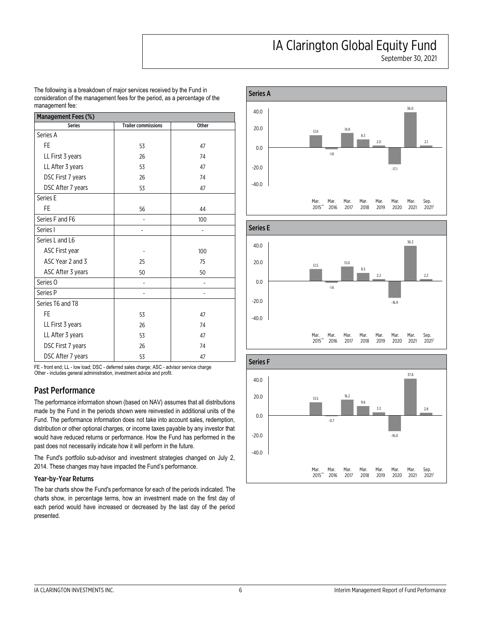**September 30, 2021** 

**The following is a breakdown of major services received by the Fund in consideration of the management fees for the period, as a percentage of the management fee:** 

| Management Fees (%) |                            |       |  |  |  |  |
|---------------------|----------------------------|-------|--|--|--|--|
| <b>Series</b>       | <b>Trailer commissions</b> | Other |  |  |  |  |
| Series A            |                            |       |  |  |  |  |
| <b>FE</b>           | 53                         | 47    |  |  |  |  |
| LL First 3 years    | 26                         | 74    |  |  |  |  |
| LL After 3 years    | 53                         | 47    |  |  |  |  |
| DSC First 7 years   | 26                         | 74    |  |  |  |  |
| DSC After 7 years   | 53                         | 47    |  |  |  |  |
| Series E            |                            |       |  |  |  |  |
| FE                  | 56                         | 44    |  |  |  |  |
| Series F and F6     | -                          | 100   |  |  |  |  |
| Series I            |                            |       |  |  |  |  |
| Series L and L6     |                            |       |  |  |  |  |
| ASC First year      |                            | 100   |  |  |  |  |
| ASC Year 2 and 3    | 25                         | 75    |  |  |  |  |
| ASC After 3 years   | 50                         | 50    |  |  |  |  |
| Series <sub>O</sub> |                            |       |  |  |  |  |
| Series <sub>P</sub> |                            |       |  |  |  |  |
| Series T6 and T8    |                            |       |  |  |  |  |
| FE                  | 53                         | 47    |  |  |  |  |
| LL First 3 years    | 26                         | 74    |  |  |  |  |
| LL After 3 years    | 53                         | 47    |  |  |  |  |
| DSC First 7 years   | 26                         | 74    |  |  |  |  |
| DSC After 7 years   | 53                         | 47    |  |  |  |  |

**FE - front end; LL - low load; DSC - deferred sales charge; ASC - advisor service charge Other - includes general administration, investment advice and profit.** 

## **Past Performance**

**The performance information shown (based on NAV) assumes that all distributions made by the Fund in the periods shown were reinvested in additional units of the Fund. The performance information does not take into account sales, redemption, distribution or other optional charges, or income taxes payable by any investor that would have reduced returns or performance. How the Fund has performed in the past does not necessarily indicate how it will perform in the future.** 

**The Fund's portfolio sub-advisor and investment strategies changed on July 2, 2014. These changes may have impacted the Fund's performance.** 

## **Year-by-Year Returns**

**The bar charts show the Fund's performance for each of the periods indicated. The charts show, in percentage terms, how an investment made on the first day of each period would have increased or decreased by the last day of the period presented.** 







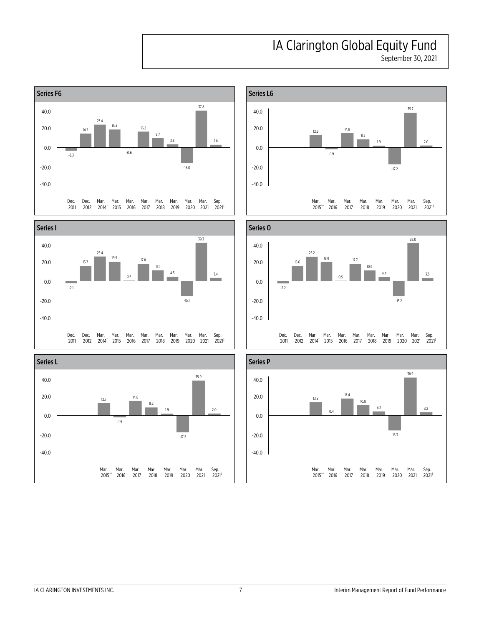**September 30, 2021** 











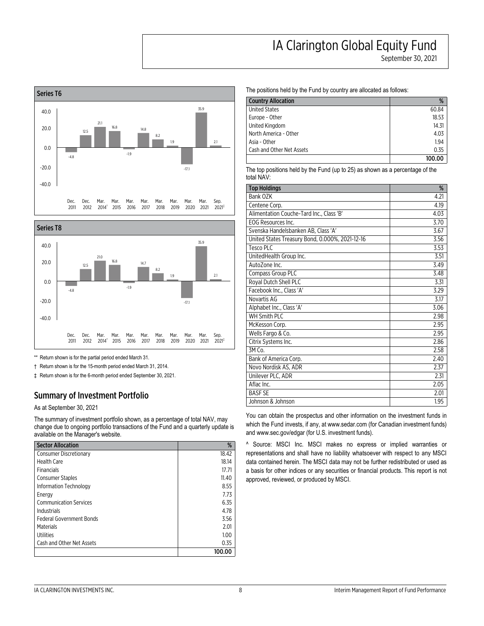**September 30, 2021** 





**\*\* Return shown is for the partial period ended March 31.** 

**† Return shown is for the 15-month period ended March 31, 2014.** 

**‡ Return shown is for the 6-month period ended September 30, 2021.** 

### **Summary of Investment Portfolio**

**As at September 30, 2021** 

**The summary of investment portfolio shown, as a percentage of total NAV, may change due to ongoing portfolio transactions of the Fund and a quarterly update is available on the Manager's website.** 

| <b>Sector Allocation</b>        | %      |
|---------------------------------|--------|
| <b>Consumer Discretionary</b>   | 18.42  |
| <b>Health Care</b>              | 18.14  |
| Financials                      | 17.71  |
| <b>Consumer Staples</b>         | 11.40  |
| Information Technology          | 8.55   |
| Energy                          | 7.73   |
| <b>Communication Services</b>   | 6.35   |
| Industrials                     | 4.78   |
| <b>Federal Government Bonds</b> | 3.56   |
| Materials                       | 2.01   |
| Utilities                       | 1.00   |
| Cash and Other Net Assets       | 0.35   |
|                                 | 100.00 |

**The positions held by the Fund by country are allocated as follows:** 

| <b>Country Allocation</b> | %      |
|---------------------------|--------|
| <b>United States</b>      | 60.84  |
| Europe - Other            | 18.53  |
| United Kingdom            | 14.31  |
| North America - Other     | 4.03   |
| Asia - Other              | 1.94   |
| Cash and Other Net Assets | 0.35   |
|                           | 100.00 |

**The top positions held by the Fund (up to 25) as shown as a percentage of the total NAV:** 

| <b>Top Holdings</b>                             | %    |
|-------------------------------------------------|------|
| Bank OZK                                        | 4.21 |
| Centene Corp.                                   | 4.19 |
| Alimentation Couche-Tard Inc., Class 'B'        | 4.03 |
| EOG Resources Inc.                              | 3.70 |
| Svenska Handelsbanken AB, Class 'A'             | 3.67 |
| United States Treasury Bond, 0.000%, 2021-12-16 | 3.56 |
| Tesco PLC                                       | 3.53 |
| UnitedHealth Group Inc.                         | 3.51 |
| AutoZone Inc.                                   | 3.49 |
| Compass Group PLC                               | 3.48 |
| Royal Dutch Shell PLC                           | 3.31 |
| Facebook Inc., Class 'A'                        | 3.29 |
| Novartis AG                                     | 3.17 |
| Alphabet Inc., Class 'A'                        | 3.06 |
| <b>WH Smith PLC</b>                             | 2.98 |
| McKesson Corp.                                  | 2.95 |
| Wells Fargo & Co.                               | 2.95 |
| Citrix Systems Inc.                             | 2.86 |
| $3M$ Co.                                        | 2.58 |
| Bank of America Corp.                           | 2.40 |
| Novo Nordisk AS, ADR                            | 2.37 |
| Unilever PLC, ADR                               | 2.31 |
| Aflac Inc.                                      | 2.05 |
| <b>BASF SE</b>                                  | 2.01 |
| Johnson & Johnson                               | 1.95 |

**You can obtain the prospectus and other information on the investment funds in which the Fund invests, if any, at <www.sedar.com> (for Canadian investment funds) and <www.sec.gov/edgar>(for U.S. investment funds).** 

**^ Source: MSCI Inc. MSCI makes no express or implied warranties or representations and shall have no liability whatsoever with respect to any MSCI data contained herein. The MSCI data may not be further redistributed or used as a basis for other indices or any securities or financial products. This report is not approved, reviewed, or produced by MSCI.**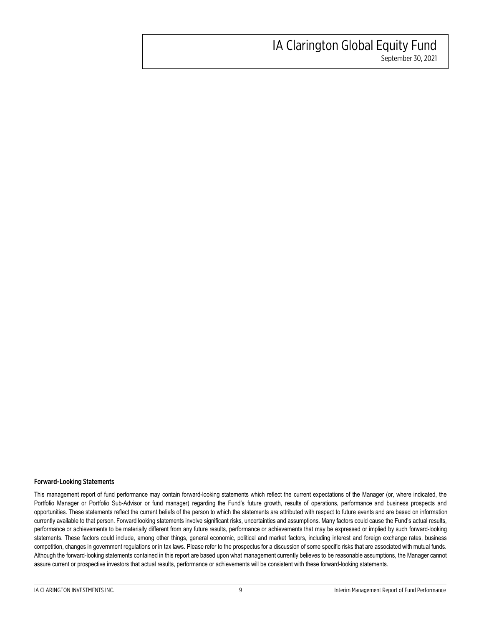## **IA Clarington Global Equity Fund September 30, 2021**

**Forward-Looking Statements** 

**This management report of fund performance may contain forward-looking statements which reflect the current expectations of the Manager (or, where indicated, the**  Portfolio Manager or Portfolio Sub-Advisor or fund manager) regarding the Fund's future growth, results of operations, performance and business prospects and **opportunities. These statements reflect the current beliefs of the person to which the statements are attributed with respect to future events and are based on information currently available to that person. Forward looking statements involve significant risks, uncertainties and assumptions. Many factors could cause the Fund's actual results, performance or achievements to be materially different from any future results, performance or achievements that may be expressed or implied by such forward-looking statements. These factors could include, among other things, general economic, political and market factors, including interest and foreign exchange rates, business competition, changes in government regulations or in tax laws. Please refer to the prospectus for a discussion of some specific risks that are associated with mutual funds. Although the forward-looking statements contained in this report are based upon what management currently believes to be reasonable assumptions, the Manager cannot assure current or prospective investors that actual results, performance or achievements will be consistent with these forward-looking statements.**